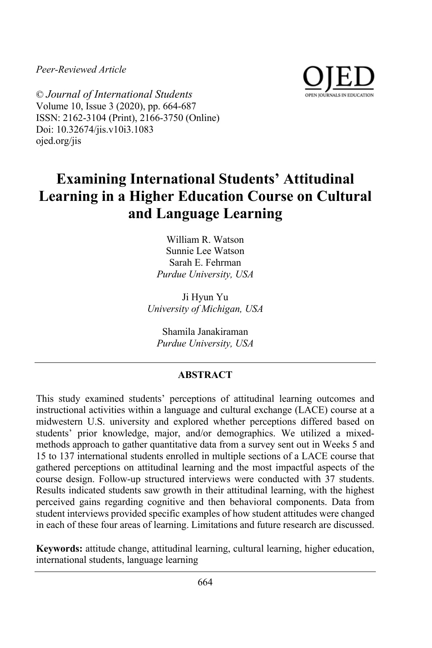*Peer-Reviewed Article*



© *Journal of International Students* Volume 10, Issue 3 (2020), pp. 664-687 ISSN: 2162-3104 (Print), 2166-3750 (Online) Doi: 10.32674/jis.v10i3.1083 ojed.org/jis

# **Examining International Students' Attitudinal Learning in a Higher Education Course on Cultural and Language Learning**

William R. Watson Sunnie Lee Watson Sarah E. Fehrman *Purdue University, USA*

Ji Hyun Yu *University of Michigan, USA*

Shamila Janakiraman *Purdue University, USA*

# **ABSTRACT**

This study examined students' perceptions of attitudinal learning outcomes and instructional activities within a language and cultural exchange (LACE) course at a midwestern U.S. university and explored whether perceptions differed based on students' prior knowledge, major, and/or demographics. We utilized a mixedmethods approach to gather quantitative data from a survey sent out in Weeks 5 and 15 to 137 international students enrolled in multiple sections of a LACE course that gathered perceptions on attitudinal learning and the most impactful aspects of the course design. Follow-up structured interviews were conducted with 37 students. Results indicated students saw growth in their attitudinal learning, with the highest perceived gains regarding cognitive and then behavioral components. Data from student interviews provided specific examples of how student attitudes were changed in each of these four areas of learning. Limitations and future research are discussed.

**Keywords:** attitude change, attitudinal learning, cultural learning, higher education, international students, language learning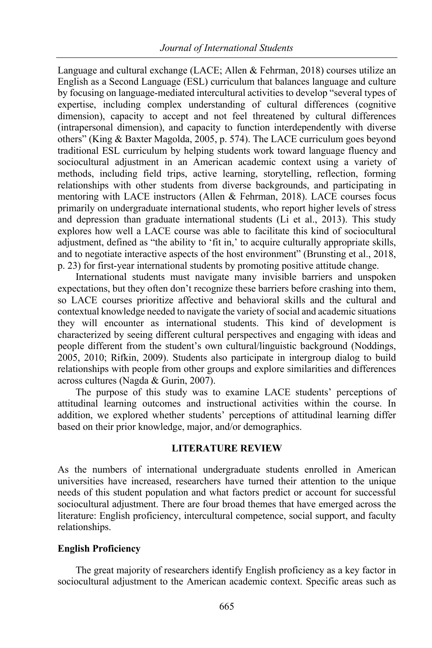Language and cultural exchange (LACE; Allen & Fehrman, 2018) courses utilize an English as a Second Language (ESL) curriculum that balances language and culture by focusing on language-mediated intercultural activities to develop "several types of expertise, including complex understanding of cultural differences (cognitive dimension), capacity to accept and not feel threatened by cultural differences (intrapersonal dimension), and capacity to function interdependently with diverse others" (King & Baxter Magolda, 2005, p. 574). The LACE curriculum goes beyond traditional ESL curriculum by helping students work toward language fluency and sociocultural adjustment in an American academic context using a variety of methods, including field trips, active learning, storytelling, reflection, forming relationships with other students from diverse backgrounds, and participating in mentoring with LACE instructors (Allen & Fehrman, 2018). LACE courses focus primarily on undergraduate international students, who report higher levels of stress and depression than graduate international students (Li et al., 2013). This study explores how well a LACE course was able to facilitate this kind of sociocultural adjustment, defined as "the ability to 'fit in,' to acquire culturally appropriate skills, and to negotiate interactive aspects of the host environment" (Brunsting et al., 2018, p. 23) for first-year international students by promoting positive attitude change.

International students must navigate many invisible barriers and unspoken expectations, but they often don't recognize these barriers before crashing into them, so LACE courses prioritize affective and behavioral skills and the cultural and contextual knowledge needed to navigate the variety ofsocial and academic situations they will encounter as international students. This kind of development is characterized by seeing different cultural perspectives and engaging with ideas and people different from the student's own cultural/linguistic background (Noddings, 2005, 2010; Rifkin, 2009). Students also participate in intergroup dialog to build relationships with people from other groups and explore similarities and differences across cultures (Nagda & Gurin, 2007).

The purpose of this study was to examine LACE students' perceptions of attitudinal learning outcomes and instructional activities within the course. In addition, we explored whether students' perceptions of attitudinal learning differ based on their prior knowledge, major, and/or demographics.

## **LITERATURE REVIEW**

As the numbers of international undergraduate students enrolled in American universities have increased, researchers have turned their attention to the unique needs of this student population and what factors predict or account for successful sociocultural adjustment. There are four broad themes that have emerged across the literature: English proficiency, intercultural competence, social support, and faculty relationships.

## **English Proficiency**

The great majority of researchers identify English proficiency as a key factor in sociocultural adjustment to the American academic context. Specific areas such as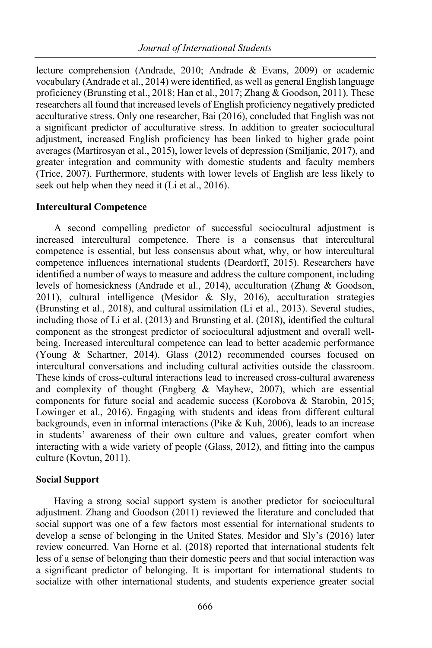lecture comprehension (Andrade, 2010; Andrade & Evans, 2009) or academic vocabulary (Andrade et al., 2014) were identified, as well as general English language proficiency (Brunsting et al., 2018; Han et al., 2017; Zhang & Goodson, 2011). These researchers all found that increased levels of English proficiency negatively predicted acculturative stress. Only one researcher, Bai (2016), concluded that English was not a significant predictor of acculturative stress. In addition to greater sociocultural adjustment, increased English proficiency has been linked to higher grade point averages (Martirosyan et al., 2015), lower levels of depression (Smiljanic, 2017), and greater integration and community with domestic students and faculty members (Trice, 2007). Furthermore, students with lower levels of English are less likely to seek out help when they need it (Li et al., 2016).

#### **Intercultural Competence**

A second compelling predictor of successful sociocultural adjustment is increased intercultural competence. There is a consensus that intercultural competence is essential, but less consensus about what, why, or how intercultural competence influences international students (Deardorff, 2015). Researchers have identified a number of ways to measure and address the culture component, including levels of homesickness (Andrade et al., 2014), acculturation (Zhang & Goodson, 2011), cultural intelligence (Mesidor & Sly, 2016), acculturation strategies (Brunsting et al., 2018), and cultural assimilation (Li et al., 2013). Several studies, including those of Li et al. (2013) and Brunsting et al. (2018), identified the cultural component as the strongest predictor of sociocultural adjustment and overall wellbeing. Increased intercultural competence can lead to better academic performance (Young & Schartner, 2014). Glass (2012) recommended courses focused on intercultural conversations and including cultural activities outside the classroom. These kinds of cross-cultural interactions lead to increased cross-cultural awareness and complexity of thought (Engberg  $&$  Mayhew, 2007), which are essential components for future social and academic success (Korobova & Starobin, 2015; Lowinger et al., 2016). Engaging with students and ideas from different cultural backgrounds, even in informal interactions (Pike & Kuh, 2006), leads to an increase in students' awareness of their own culture and values, greater comfort when interacting with a wide variety of people (Glass, 2012), and fitting into the campus culture (Kovtun, 2011).

## **Social Support**

Having a strong social support system is another predictor for sociocultural adjustment. Zhang and Goodson (2011) reviewed the literature and concluded that social support was one of a few factors most essential for international students to develop a sense of belonging in the United States. Mesidor and Sly's (2016) later review concurred. Van Horne et al. (2018) reported that international students felt less of a sense of belonging than their domestic peers and that social interaction was a significant predictor of belonging. It is important for international students to socialize with other international students, and students experience greater social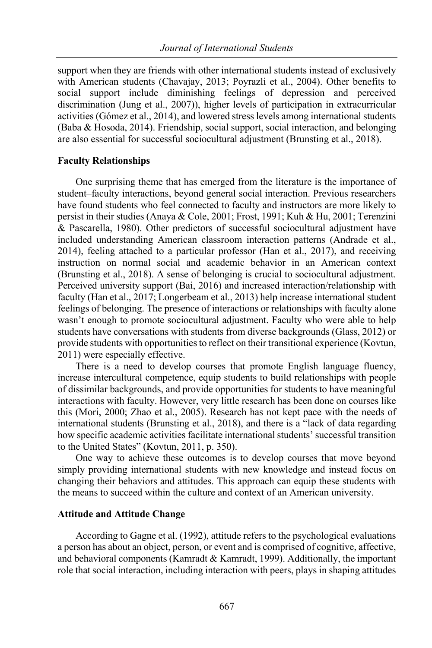support when they are friends with other international students instead of exclusively with American students (Chavajay, 2013; Poyrazli et al., 2004). Other benefits to social support include diminishing feelings of depression and perceived discrimination (Jung et al., 2007)), higher levels of participation in extracurricular activities (Gómez et al., 2014), and lowered stress levels among international students (Baba & Hosoda, 2014). Friendship, social support, social interaction, and belonging are also essential for successful sociocultural adjustment (Brunsting et al., 2018).

# **Faculty Relationships**

One surprising theme that has emerged from the literature is the importance of student–faculty interactions, beyond general social interaction. Previous researchers have found students who feel connected to faculty and instructors are more likely to persist in their studies (Anaya & Cole, 2001; Frost, 1991; Kuh & Hu, 2001; Terenzini & Pascarella, 1980). Other predictors of successful sociocultural adjustment have included understanding American classroom interaction patterns (Andrade et al., 2014), feeling attached to a particular professor (Han et al., 2017), and receiving instruction on normal social and academic behavior in an American context (Brunsting et al., 2018). A sense of belonging is crucial to sociocultural adjustment. Perceived university support (Bai, 2016) and increased interaction/relationship with faculty (Han et al., 2017; Longerbeam et al., 2013) help increase international student feelings of belonging. The presence of interactions or relationships with faculty alone wasn't enough to promote sociocultural adjustment. Faculty who were able to help students have conversations with students from diverse backgrounds (Glass, 2012) or provide students with opportunitiesto reflect on their transitional experience (Kovtun, 2011) were especially effective.

There is a need to develop courses that promote English language fluency, increase intercultural competence, equip students to build relationships with people of dissimilar backgrounds, and provide opportunities for students to have meaningful interactions with faculty. However, very little research has been done on courses like this (Mori, 2000; Zhao et al., 2005). Research has not kept pace with the needs of international students (Brunsting et al., 2018), and there is a "lack of data regarding how specific academic activities facilitate international students' successful transition to the United States" (Kovtun, 2011, p. 350).

One way to achieve these outcomes is to develop courses that move beyond simply providing international students with new knowledge and instead focus on changing their behaviors and attitudes. This approach can equip these students with the means to succeed within the culture and context of an American university.

## **Attitude and Attitude Change**

According to Gagne et al. (1992), attitude refers to the psychological evaluations a person has about an object, person, or event and is comprised of cognitive, affective, and behavioral components (Kamradt  $&$  Kamradt, 1999). Additionally, the important role that social interaction, including interaction with peers, plays in shaping attitudes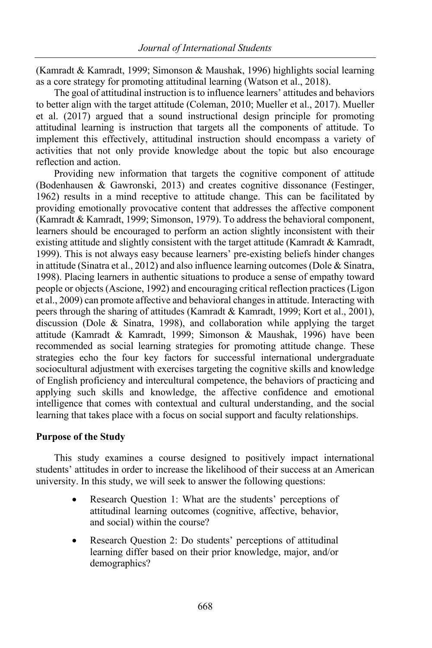(Kamradt & Kamradt, 1999; Simonson & Maushak, 1996) highlights social learning as a core strategy for promoting attitudinal learning (Watson et al., 2018).

The goal of attitudinal instruction is to influence learners' attitudes and behaviors to better align with the target attitude (Coleman, 2010; Mueller et al., 2017). Mueller et al. (2017) argued that a sound instructional design principle for promoting attitudinal learning is instruction that targets all the components of attitude. To implement this effectively, attitudinal instruction should encompass a variety of activities that not only provide knowledge about the topic but also encourage reflection and action.

Providing new information that targets the cognitive component of attitude (Bodenhausen & Gawronski, 2013) and creates cognitive dissonance (Festinger, 1962) results in a mind receptive to attitude change. This can be facilitated by providing emotionally provocative content that addresses the affective component (Kamradt & Kamradt, 1999; Simonson, 1979). To address the behavioral component, learners should be encouraged to perform an action slightly inconsistent with their existing attitude and slightly consistent with the target attitude (Kamradt & Kamradt, 1999). This is not always easy because learners' pre-existing beliefs hinder changes in attitude (Sinatra et al., 2012) and also influence learning outcomes (Dole & Sinatra, 1998). Placing learners in authentic situations to produce a sense of empathy toward people or objects (Ascione, 1992) and encouraging critical reflection practices (Ligon et al., 2009) can promote affective and behavioral changes in attitude. Interacting with peers through the sharing of attitudes (Kamradt & Kamradt, 1999; Kort et al., 2001), discussion (Dole & Sinatra, 1998), and collaboration while applying the target attitude (Kamradt & Kamradt, 1999; Simonson & Maushak, 1996) have been recommended as social learning strategies for promoting attitude change. These strategies echo the four key factors for successful international undergraduate sociocultural adjustment with exercises targeting the cognitive skills and knowledge of English proficiency and intercultural competence, the behaviors of practicing and applying such skills and knowledge, the affective confidence and emotional intelligence that comes with contextual and cultural understanding, and the social learning that takes place with a focus on social support and faculty relationships.

# **Purpose of the Study**

This study examines a course designed to positively impact international students' attitudes in order to increase the likelihood of their success at an American university. In this study, we will seek to answer the following questions:

- Research Question 1: What are the students' perceptions of attitudinal learning outcomes (cognitive, affective, behavior, and social) within the course?
- Research Question 2: Do students' perceptions of attitudinal learning differ based on their prior knowledge, major, and/or demographics?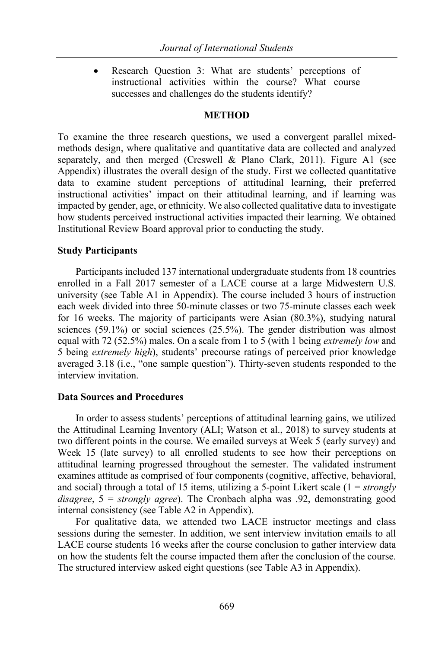Research Question 3: What are students' perceptions of instructional activities within the course? What course successes and challenges do the students identify?

#### **METHOD**

To examine the three research questions, we used a convergent parallel mixedmethods design, where qualitative and quantitative data are collected and analyzed separately, and then merged (Creswell & Plano Clark, 2011). Figure A1 (see Appendix) illustrates the overall design of the study. First we collected quantitative data to examine student perceptions of attitudinal learning, their preferred instructional activities' impact on their attitudinal learning, and if learning was impacted by gender, age, or ethnicity. We also collected qualitative data to investigate how students perceived instructional activities impacted their learning. We obtained Institutional Review Board approval prior to conducting the study.

## **Study Participants**

Participants included 137 international undergraduate students from 18 countries enrolled in a Fall 2017 semester of a LACE course at a large Midwestern U.S. university (see Table A1 in Appendix). The course included 3 hours of instruction each week divided into three 50-minute classes or two 75-minute classes each week for 16 weeks. The majority of participants were Asian (80.3%), studying natural sciences (59.1%) or social sciences (25.5%). The gender distribution was almost equal with 72 (52.5%) males. On a scale from 1 to 5 (with 1 being *extremely low* and 5 being *extremely high*), students' precourse ratings of perceived prior knowledge averaged 3.18 (i.e., "one sample question"). Thirty-seven students responded to the interview invitation.

#### **Data Sources and Procedures**

In order to assess students' perceptions of attitudinal learning gains, we utilized the Attitudinal Learning Inventory (ALI; Watson et al., 2018) to survey students at two different points in the course. We emailed surveys at Week 5 (early survey) and Week 15 (late survey) to all enrolled students to see how their perceptions on attitudinal learning progressed throughout the semester. The validated instrument examines attitude as comprised of four components (cognitive, affective, behavioral, and social) through a total of 15 items, utilizing a 5-point Likert scale (1 = *strongly disagree*, 5 = *strongly agree*). The Cronbach alpha was .92, demonstrating good internal consistency (see Table A2 in Appendix).

For qualitative data, we attended two LACE instructor meetings and class sessions during the semester. In addition, we sent interview invitation emails to all LACE course students 16 weeks after the course conclusion to gather interview data on how the students felt the course impacted them after the conclusion of the course. The structured interview asked eight questions (see Table A3 in Appendix).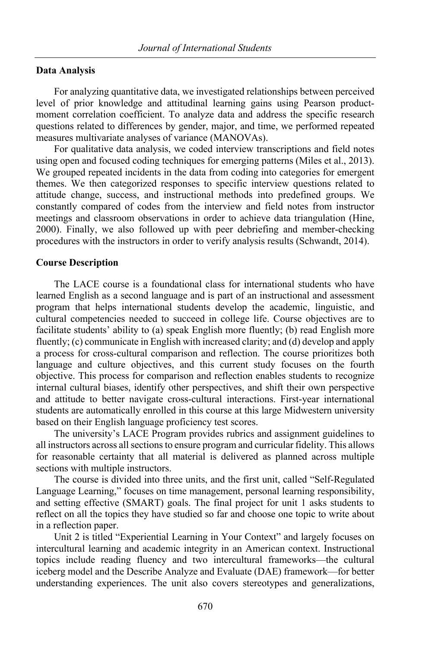#### **Data Analysis**

For analyzing quantitative data, we investigated relationships between perceived level of prior knowledge and attitudinal learning gains using Pearson productmoment correlation coefficient. To analyze data and address the specific research questions related to differences by gender, major, and time, we performed repeated measures multivariate analyses of variance (MANOVAs).

For qualitative data analysis, we coded interview transcriptions and field notes using open and focused coding techniques for emerging patterns (Miles et al., 2013). We grouped repeated incidents in the data from coding into categories for emergent themes. We then categorized responses to specific interview questions related to attitude change, success, and instructional methods into predefined groups. We constantly compared of codes from the interview and field notes from instructor meetings and classroom observations in order to achieve data triangulation (Hine, 2000). Finally, we also followed up with peer debriefing and member-checking procedures with the instructors in order to verify analysis results (Schwandt, 2014).

#### **Course Description**

The LACE course is a foundational class for international students who have learned English as a second language and is part of an instructional and assessment program that helps international students develop the academic, linguistic, and cultural competencies needed to succeed in college life. Course objectives are to facilitate students' ability to (a) speak English more fluently; (b) read English more fluently; (c) communicate in English with increased clarity; and (d) develop and apply a process for cross-cultural comparison and reflection. The course prioritizes both language and culture objectives, and this current study focuses on the fourth objective. This process for comparison and reflection enables students to recognize internal cultural biases, identify other perspectives, and shift their own perspective and attitude to better navigate cross-cultural interactions. First-year international students are automatically enrolled in this course at this large Midwestern university based on their English language proficiency test scores.

The university's LACE Program provides rubrics and assignment guidelines to all instructors across allsectionsto ensure program and curricular fidelity. This allows for reasonable certainty that all material is delivered as planned across multiple sections with multiple instructors.

The course is divided into three units, and the first unit, called "Self-Regulated Language Learning," focuses on time management, personal learning responsibility, and setting effective (SMART) goals. The final project for unit 1 asks students to reflect on all the topics they have studied so far and choose one topic to write about in a reflection paper.

Unit 2 is titled "Experiential Learning in Your Context" and largely focuses on intercultural learning and academic integrity in an American context. Instructional topics include reading fluency and two intercultural frameworks—the cultural iceberg model and the Describe Analyze and Evaluate (DAE) framework—for better understanding experiences. The unit also covers stereotypes and generalizations,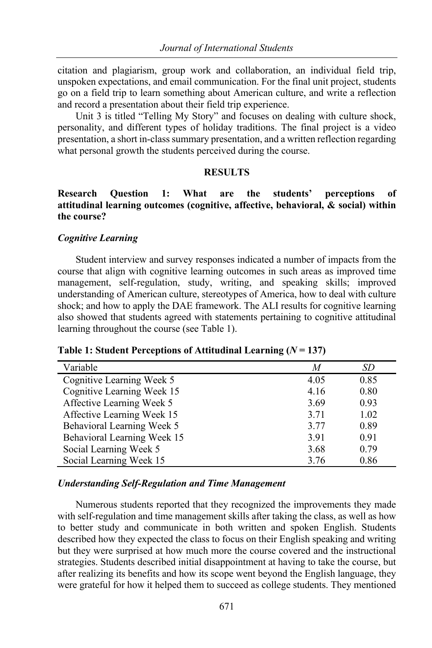citation and plagiarism, group work and collaboration, an individual field trip, unspoken expectations, and email communication. For the final unit project, students go on a field trip to learn something about American culture, and write a reflection and record a presentation about their field trip experience.

Unit 3 is titled "Telling My Story" and focuses on dealing with culture shock, personality, and different types of holiday traditions. The final project is a video presentation, a short in-classsummary presentation, and a written reflection regarding what personal growth the students perceived during the course.

#### **RESULTS**

# **Research Question 1: What are the students' perceptions of attitudinal learning outcomes (cognitive, affective, behavioral, & social) within the course?**

## *Cognitive Learning*

Student interview and survey responses indicated a number of impacts from the course that align with cognitive learning outcomes in such areas as improved time management, self-regulation, study, writing, and speaking skills; improved understanding of American culture, stereotypes of America, how to deal with culture shock; and how to apply the DAE framework. The ALI results for cognitive learning also showed that students agreed with statements pertaining to cognitive attitudinal learning throughout the course (see Table 1).

| Variable                    | M    | SD   |
|-----------------------------|------|------|
| Cognitive Learning Week 5   | 4.05 | 0.85 |
| Cognitive Learning Week 15  | 4.16 | 0.80 |
| Affective Learning Week 5   | 3.69 | 0.93 |
| Affective Learning Week 15  | 3.71 | 1.02 |
| Behavioral Learning Week 5  | 3.77 | 0.89 |
| Behavioral Learning Week 15 | 3.91 | 0.91 |
| Social Learning Week 5      | 3.68 | 0.79 |
| Social Learning Week 15     | 3.76 | 0.86 |

#### *Understanding Self-Regulation and Time Management*

Numerous students reported that they recognized the improvements they made with self-regulation and time management skills after taking the class, as well as how to better study and communicate in both written and spoken English. Students described how they expected the class to focus on their English speaking and writing but they were surprised at how much more the course covered and the instructional strategies. Students described initial disappointment at having to take the course, but after realizing its benefits and how its scope went beyond the English language, they were grateful for how it helped them to succeed as college students. They mentioned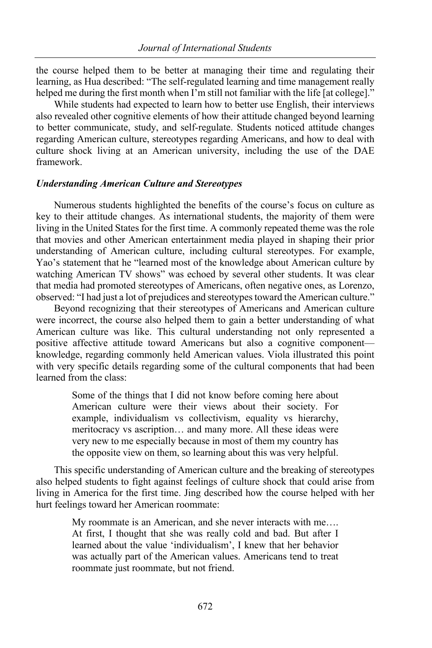the course helped them to be better at managing their time and regulating their learning, as Hua described: "The self-regulated learning and time management really helped me during the first month when I'm still not familiar with the life [at college]."

While students had expected to learn how to better use English, their interviews also revealed other cognitive elements of how their attitude changed beyond learning to better communicate, study, and self-regulate. Students noticed attitude changes regarding American culture, stereotypes regarding Americans, and how to deal with culture shock living at an American university, including the use of the DAE framework.

#### *Understanding American Culture and Stereotypes*

Numerous students highlighted the benefits of the course's focus on culture as key to their attitude changes. As international students, the majority of them were living in the United States for the first time. A commonly repeated theme was the role that movies and other American entertainment media played in shaping their prior understanding of American culture, including cultural stereotypes. For example, Yao's statement that he "learned most of the knowledge about American culture by watching American TV shows" was echoed by several other students. It was clear that media had promoted stereotypes of Americans, often negative ones, as Lorenzo, observed: "I had just a lot of prejudices and stereotypes toward the American culture."

Beyond recognizing that their stereotypes of Americans and American culture were incorrect, the course also helped them to gain a better understanding of what American culture was like. This cultural understanding not only represented a positive affective attitude toward Americans but also a cognitive component knowledge, regarding commonly held American values. Viola illustrated this point with very specific details regarding some of the cultural components that had been learned from the class:

> Some of the things that I did not know before coming here about American culture were their views about their society. For example, individualism vs collectivism, equality vs hierarchy, meritocracy vs ascription… and many more. All these ideas were very new to me especially because in most of them my country has the opposite view on them, so learning about this was very helpful.

This specific understanding of American culture and the breaking of stereotypes also helped students to fight against feelings of culture shock that could arise from living in America for the first time. Jing described how the course helped with her hurt feelings toward her American roommate:

> My roommate is an American, and she never interacts with me…. At first, I thought that she was really cold and bad. But after I learned about the value 'individualism', I knew that her behavior was actually part of the American values. Americans tend to treat roommate just roommate, but not friend.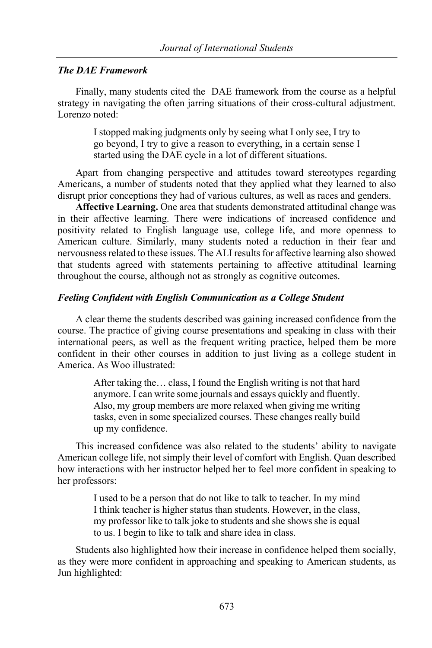### *The DAE Framework*

Finally, many students cited the DAE framework from the course as a helpful strategy in navigating the often jarring situations of their cross-cultural adjustment. Lorenzo noted:

> I stopped making judgments only by seeing what I only see, I try to go beyond, I try to give a reason to everything, in a certain sense I started using the DAE cycle in a lot of different situations.

Apart from changing perspective and attitudes toward stereotypes regarding Americans, a number of students noted that they applied what they learned to also disrupt prior conceptions they had of various cultures, as well as races and genders.

**Affective Learning.** One area that students demonstrated attitudinal change was in their affective learning. There were indications of increased confidence and positivity related to English language use, college life, and more openness to American culture. Similarly, many students noted a reduction in their fear and nervousness related to these issues. The ALI results for affective learning also showed that students agreed with statements pertaining to affective attitudinal learning throughout the course, although not as strongly as cognitive outcomes.

## *Feeling Confident with English Communication as a College Student*

A clear theme the students described was gaining increased confidence from the course. The practice of giving course presentations and speaking in class with their international peers, as well as the frequent writing practice, helped them be more confident in their other courses in addition to just living as a college student in America. As Woo illustrated:

> After taking the… class, I found the English writing is not that hard anymore. I can write some journals and essays quickly and fluently. Also, my group members are more relaxed when giving me writing tasks, even in some specialized courses. These changes really build up my confidence.

This increased confidence was also related to the students' ability to navigate American college life, not simply their level of comfort with English. Quan described how interactions with her instructor helped her to feel more confident in speaking to her professors:

> I used to be a person that do not like to talk to teacher. In my mind I think teacher is higher status than students. However, in the class, my professor like to talk joke to students and she shows she is equal to us. I begin to like to talk and share idea in class.

Students also highlighted how their increase in confidence helped them socially, as they were more confident in approaching and speaking to American students, as Jun highlighted: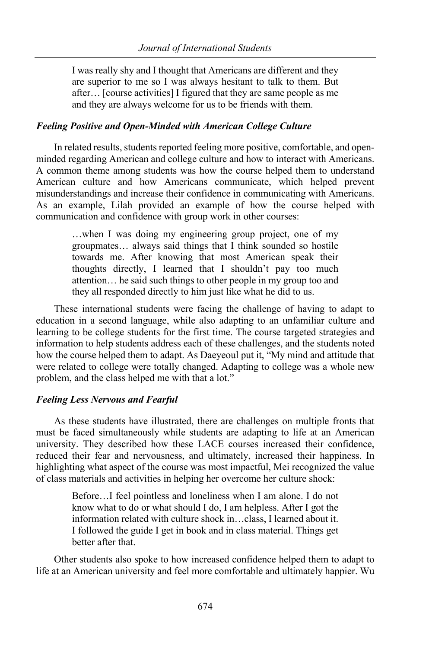I was really shy and I thought that Americans are different and they are superior to me so I was always hesitant to talk to them. But after… [course activities] I figured that they are same people as me and they are always welcome for us to be friends with them.

## *Feeling Positive and Open-Minded with American College Culture*

In related results, students reported feeling more positive, comfortable, and openminded regarding American and college culture and how to interact with Americans. A common theme among students was how the course helped them to understand American culture and how Americans communicate, which helped prevent misunderstandings and increase their confidence in communicating with Americans. As an example, Lilah provided an example of how the course helped with communication and confidence with group work in other courses:

> …when I was doing my engineering group project, one of my groupmates… always said things that I think sounded so hostile towards me. After knowing that most American speak their thoughts directly, I learned that I shouldn't pay too much attention… he said such things to other people in my group too and they all responded directly to him just like what he did to us.

These international students were facing the challenge of having to adapt to education in a second language, while also adapting to an unfamiliar culture and learning to be college students for the first time. The course targeted strategies and information to help students address each of these challenges, and the students noted how the course helped them to adapt. As Daeyeoul put it, "My mind and attitude that were related to college were totally changed. Adapting to college was a whole new problem, and the class helped me with that a lot."

# *Feeling Less Nervous and Fearful*

As these students have illustrated, there are challenges on multiple fronts that must be faced simultaneously while students are adapting to life at an American university. They described how these LACE courses increased their confidence, reduced their fear and nervousness, and ultimately, increased their happiness. In highlighting what aspect of the course was most impactful, Mei recognized the value of class materials and activities in helping her overcome her culture shock:

> Before…I feel pointless and loneliness when I am alone. I do not know what to do or what should I do, I am helpless. After I got the information related with culture shock in…class, I learned about it. I followed the guide I get in book and in class material. Things get better after that.

Other students also spoke to how increased confidence helped them to adapt to life at an American university and feel more comfortable and ultimately happier. Wu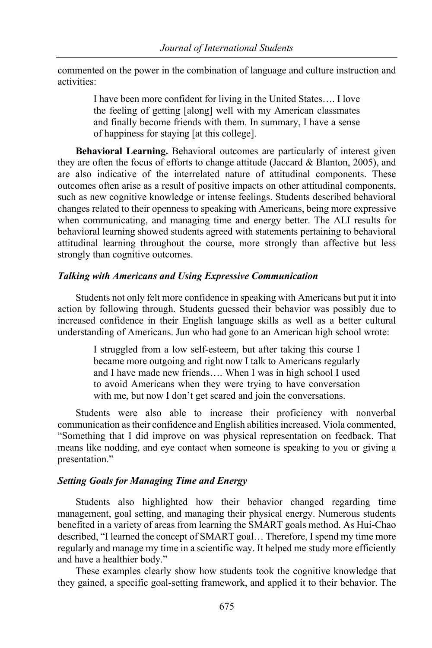commented on the power in the combination of language and culture instruction and activities:

> I have been more confident for living in the United States…. I love the feeling of getting [along] well with my American classmates and finally become friends with them. In summary, I have a sense of happiness for staying [at this college].

**Behavioral Learning.** Behavioral outcomes are particularly of interest given they are often the focus of efforts to change attitude (Jaccard & Blanton, 2005), and are also indicative of the interrelated nature of attitudinal components. These outcomes often arise as a result of positive impacts on other attitudinal components, such as new cognitive knowledge or intense feelings. Students described behavioral changes related to their openness to speaking with Americans, being more expressive when communicating, and managing time and energy better. The ALI results for behavioral learning showed students agreed with statements pertaining to behavioral attitudinal learning throughout the course, more strongly than affective but less strongly than cognitive outcomes.

## *Talking with Americans and Using Expressive Communication*

Students not only felt more confidence in speaking with Americans but put it into action by following through. Students guessed their behavior was possibly due to increased confidence in their English language skills as well as a better cultural understanding of Americans. Jun who had gone to an American high school wrote:

> I struggled from a low self-esteem, but after taking this course I became more outgoing and right now I talk to Americans regularly and I have made new friends…. When I was in high school I used to avoid Americans when they were trying to have conversation with me, but now I don't get scared and join the conversations.

Students were also able to increase their proficiency with nonverbal communication as their confidence and English abilities increased. Viola commented, "Something that I did improve on was physical representation on feedback. That means like nodding, and eye contact when someone is speaking to you or giving a presentation."

# *Setting Goals for Managing Time and Energy*

Students also highlighted how their behavior changed regarding time management, goal setting, and managing their physical energy. Numerous students benefited in a variety of areas from learning the SMART goals method. As Hui-Chao described, "I learned the concept of SMART goal… Therefore, I spend my time more regularly and manage my time in a scientific way. It helped me study more efficiently and have a healthier body."

These examples clearly show how students took the cognitive knowledge that they gained, a specific goal-setting framework, and applied it to their behavior. The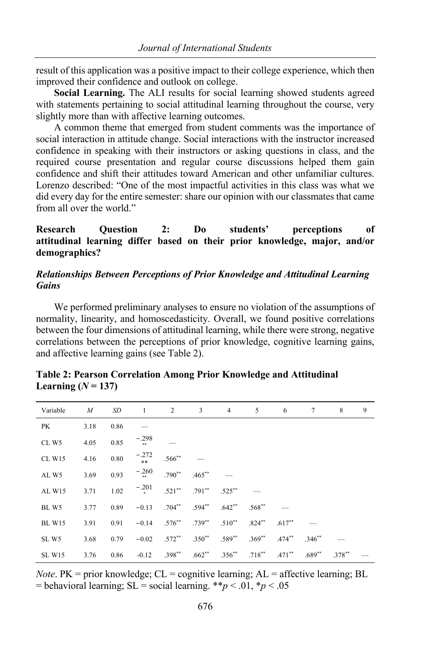result of this application was a positive impact to their college experience, which then improved their confidence and outlook on college.

**Social Learning.** The ALI results for social learning showed students agreed with statements pertaining to social attitudinal learning throughout the course, very slightly more than with affective learning outcomes.

A common theme that emerged from student comments was the importance of social interaction in attitude change. Social interactions with the instructor increased confidence in speaking with their instructors or asking questions in class, and the required course presentation and regular course discussions helped them gain confidence and shift their attitudes toward American and other unfamiliar cultures. Lorenzo described: "One of the most impactful activities in this class was what we did every day for the entire semester: share our opinion with our classmates that came from all over the world."

**Research Question 2: Do students' perceptions of attitudinal learning differ based on their prior knowledge, major, and/or demographics?**

## *Relationships Between Perceptions of Prior Knowledge and Attitudinal Learning Gains*

We performed preliminary analyses to ensure no violation of the assumptions of normality, linearity, and homoscedasticity. Overall, we found positive correlations between the four dimensions of attitudinal learning, while there were strong, negative correlations between the perceptions of prior knowledge, cognitive learning gains, and affective learning gains (see Table 2).

| Variable         | M    | SD   | $\mathbf{1}$ | 2         | 3           | 4           | 5         | 6         | 7        | 8         | 9 |
|------------------|------|------|--------------|-----------|-------------|-------------|-----------|-----------|----------|-----------|---|
| PK               | 3.18 | 0.86 |              |           |             |             |           |           |          |           |   |
| CLW <sub>5</sub> | 4.05 | 0.85 | $-.298$      |           |             |             |           |           |          |           |   |
| <b>CL W15</b>    | 4.16 | 0.80 | $-0.272$     | $.566**$  |             |             |           |           |          |           |   |
| ALW <sub>5</sub> | 3.69 | 0.93 | $-.260$      | $.790**$  | $.465***$   |             |           |           |          |           |   |
| AL W15           | 3.71 | 1.02 | $-.201$      | $.521***$ | $.791***$   | $.525***$   |           |           |          |           |   |
| BLW5             | 3.77 | 0.89 | $-0.13$      | $.704***$ | $.594**$    | $.642**$    | $.568**$  |           |          |           |   |
| <b>BL W15</b>    | 3.91 | 0.91 | $-0.14$      | $.576***$ | $.739***$   | $.510**$    | $.824***$ | $.617**$  |          |           |   |
| SLW <sub>5</sub> | 3.68 | 0.79 | $-0.02$      | $.572***$ | $.350^{**}$ | $.589**$    | $.369**$  | $.474***$ | $.346**$ |           |   |
| <b>SL W15</b>    | 3.76 | 0.86 | $-0.12$      | $.398***$ | $.662**$    | $.356^{**}$ | $.718***$ | $.471***$ | $.689**$ | $.378***$ |   |

## **Table 2: Pearson Correlation Among Prior Knowledge and Attitudinal**  Learning  $(N = 137)$

*Note*.  $PK = prior knowledge$ ;  $CL = cognitive learning$ ;  $AL = affective learning$ ;  $BL$ = behavioral learning;  $SL =$  social learning. \*\**p* < .01, \**p* < .05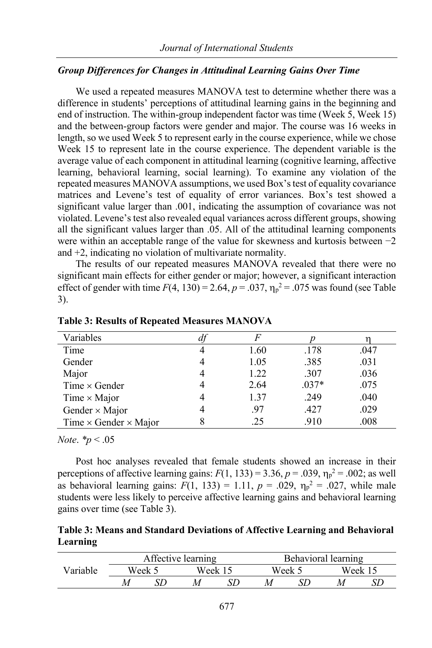#### *Group Differences for Changes in Attitudinal Learning Gains Over Time*

We used a repeated measures MANOVA test to determine whether there was a difference in students' perceptions of attitudinal learning gains in the beginning and end of instruction. The within-group independent factor was time (Week 5, Week 15) and the between-group factors were gender and major. The course was 16 weeks in length, so we used Week 5 to represent early in the course experience, while we chose Week 15 to represent late in the course experience. The dependent variable is the average value of each component in attitudinal learning (cognitive learning, affective learning, behavioral learning, social learning). To examine any violation of the repeated measures MANOVA assumptions, we used Box'stest of equality covariance matrices and Levene's test of equality of error variances. Box's test showed a significant value larger than .001, indicating the assumption of covariance was not violated. Levene's test also revealed equal variances across different groups, showing all the significant values larger than .05. All of the attitudinal learning components were within an acceptable range of the value for skewness and kurtosis between −2 and +2, indicating no violation of multivariate normality.

The results of our repeated measures MANOVA revealed that there were no significant main effects for either gender or major; however, a significant interaction effect of gender with time  $F(4, 130) = 2.64$ ,  $p = .037$ ,  $\eta_p^2 = .075$  was found (see Table 3).

| Variables                           |      |         |      |
|-------------------------------------|------|---------|------|
| Time                                | 1.60 | .178    | .047 |
| Gender                              | 1.05 | .385    | .031 |
| Major                               | 1.22 | .307    | .036 |
| Time $\times$ Gender                | 2.64 | $.037*$ | .075 |
| Time $\times$ Major                 | 1.37 | .249    | .040 |
| Gender $\times$ Major               | .97  | .427    | .029 |
| Time $\times$ Gender $\times$ Major | .25  | .910    | .008 |

**Table 3: Results of Repeated Measures MANOVA**

*Note*. *\*p* < .05

Post hoc analyses revealed that female students showed an increase in their perceptions of affective learning gains:  $F(1, 133) = 3.36$ ,  $p = .039$ ,  $\eta_p^2 = .002$ ; as well as behavioral learning gains:  $F(1, 133) = 1.11$ ,  $p = .029$ ,  $\eta_p^2 = .027$ , while male students were less likely to perceive affective learning gains and behavioral learning gains over time (see Table 3).

## **Table 3: Means and Standard Deviations of Affective Learning and Behavioral Learning**

|          |        | Affective learning |         |  | Behavioral learning |  |         |  |
|----------|--------|--------------------|---------|--|---------------------|--|---------|--|
| Variable | Week 5 |                    | Week 15 |  | Week 5              |  | Week 15 |  |
|          |        |                    |         |  |                     |  |         |  |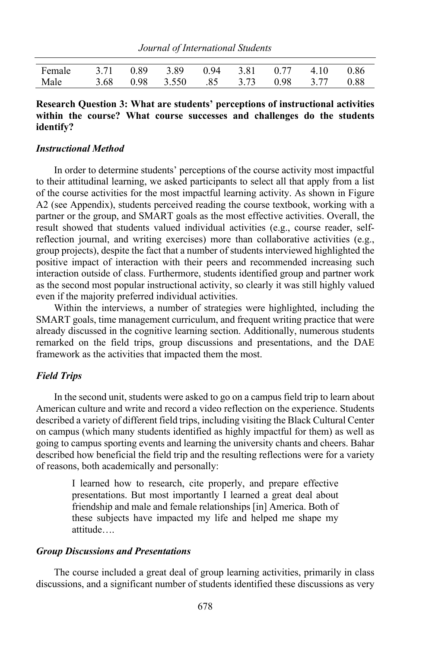| Journal of International Students |  |
|-----------------------------------|--|
|-----------------------------------|--|

| Female 3.71 0.89 3.89 0.94 3.81 0.77 4.10 0.86 |  |  |  |  |
|------------------------------------------------|--|--|--|--|
| Male 3.68 0.98 3.550 .85 3.73 0.98 3.77 0.88   |  |  |  |  |

## **Research Question 3: What are students' perceptions of instructional activities within the course? What course successes and challenges do the students identify?**

#### *Instructional Method*

In order to determine students' perceptions of the course activity most impactful to their attitudinal learning, we asked participants to select all that apply from a list of the course activities for the most impactful learning activity. As shown in Figure A2 (see Appendix), students perceived reading the course textbook, working with a partner or the group, and SMART goals as the most effective activities. Overall, the result showed that students valued individual activities (e.g., course reader, selfreflection journal, and writing exercises) more than collaborative activities (e.g., group projects), despite the fact that a number of students interviewed highlighted the positive impact of interaction with their peers and recommended increasing such interaction outside of class. Furthermore, students identified group and partner work as the second most popular instructional activity, so clearly it was still highly valued even if the majority preferred individual activities.

Within the interviews, a number of strategies were highlighted, including the SMART goals, time management curriculum, and frequent writing practice that were already discussed in the cognitive learning section. Additionally, numerous students remarked on the field trips, group discussions and presentations, and the DAE framework as the activities that impacted them the most.

## *Field Trips*

In the second unit, students were asked to go on a campus field trip to learn about American culture and write and record a video reflection on the experience. Students described a variety of different field trips, including visiting the Black Cultural Center on campus (which many students identified as highly impactful for them) as well as going to campus sporting events and learning the university chants and cheers. Bahar described how beneficial the field trip and the resulting reflections were for a variety of reasons, both academically and personally:

> I learned how to research, cite properly, and prepare effective presentations. But most importantly I learned a great deal about friendship and male and female relationships [in] America. Both of these subjects have impacted my life and helped me shape my attitude….

#### *Group Discussions and Presentations*

The course included a great deal of group learning activities, primarily in class discussions, and a significant number of students identified these discussions as very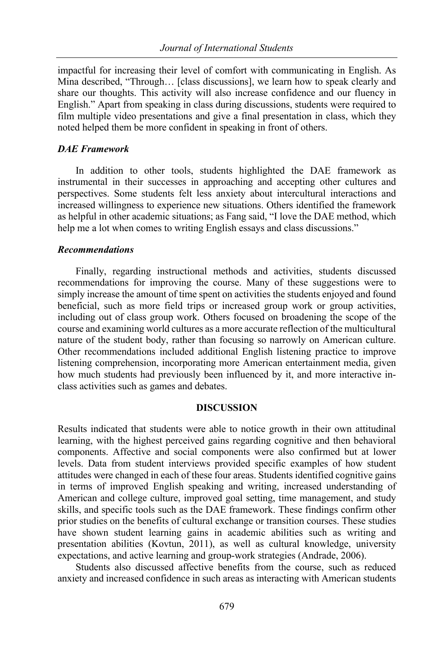impactful for increasing their level of comfort with communicating in English. As Mina described, "Through… [class discussions], we learn how to speak clearly and share our thoughts. This activity will also increase confidence and our fluency in English." Apart from speaking in class during discussions, students were required to film multiple video presentations and give a final presentation in class, which they noted helped them be more confident in speaking in front of others.

## *DAE Framework*

In addition to other tools, students highlighted the DAE framework as instrumental in their successes in approaching and accepting other cultures and perspectives. Some students felt less anxiety about intercultural interactions and increased willingness to experience new situations. Others identified the framework as helpful in other academic situations; as Fang said, "I love the DAE method, which help me a lot when comes to writing English essays and class discussions."

## *Recommendations*

Finally, regarding instructional methods and activities, students discussed recommendations for improving the course. Many of these suggestions were to simply increase the amount of time spent on activities the students enjoyed and found beneficial, such as more field trips or increased group work or group activities, including out of class group work. Others focused on broadening the scope of the course and examining world cultures as a more accurate reflection of the multicultural nature of the student body, rather than focusing so narrowly on American culture. Other recommendations included additional English listening practice to improve listening comprehension, incorporating more American entertainment media, given how much students had previously been influenced by it, and more interactive inclass activities such as games and debates.

## **DISCUSSION**

Results indicated that students were able to notice growth in their own attitudinal learning, with the highest perceived gains regarding cognitive and then behavioral components. Affective and social components were also confirmed but at lower levels. Data from student interviews provided specific examples of how student attitudes were changed in each of these four areas. Students identified cognitive gains in terms of improved English speaking and writing, increased understanding of American and college culture, improved goal setting, time management, and study skills, and specific tools such as the DAE framework. These findings confirm other prior studies on the benefits of cultural exchange or transition courses. These studies have shown student learning gains in academic abilities such as writing and presentation abilities (Kovtun, 2011), as well as cultural knowledge, university expectations, and active learning and group-work strategies (Andrade, 2006).

Students also discussed affective benefits from the course, such as reduced anxiety and increased confidence in such areas as interacting with American students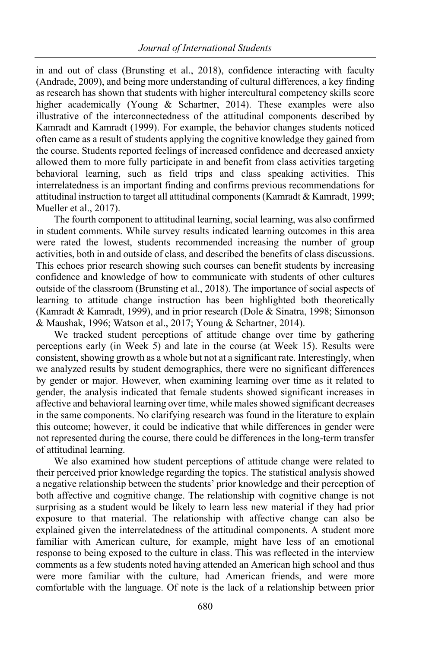in and out of class (Brunsting et al., 2018), confidence interacting with faculty (Andrade, 2009), and being more understanding of cultural differences, a key finding as research has shown that students with higher intercultural competency skills score higher academically (Young & Schartner, 2014). These examples were also illustrative of the interconnectedness of the attitudinal components described by Kamradt and Kamradt (1999). For example, the behavior changes students noticed often came as a result of students applying the cognitive knowledge they gained from the course. Students reported feelings of increased confidence and decreased anxiety allowed them to more fully participate in and benefit from class activities targeting behavioral learning, such as field trips and class speaking activities. This interrelatedness is an important finding and confirms previous recommendations for attitudinal instruction to target all attitudinal components(Kamradt & Kamradt, 1999; Mueller et al., 2017).

The fourth component to attitudinal learning, social learning, was also confirmed in student comments. While survey results indicated learning outcomes in this area were rated the lowest, students recommended increasing the number of group activities, both in and outside of class, and described the benefits of class discussions. This echoes prior research showing such courses can benefit students by increasing confidence and knowledge of how to communicate with students of other cultures outside of the classroom (Brunsting et al., 2018). The importance of social aspects of learning to attitude change instruction has been highlighted both theoretically (Kamradt & Kamradt, 1999), and in prior research (Dole & Sinatra, 1998; Simonson & Maushak, 1996; Watson et al., 2017; Young & Schartner, 2014).

We tracked student perceptions of attitude change over time by gathering perceptions early (in Week 5) and late in the course (at Week 15). Results were consistent, showing growth as a whole but not at a significant rate. Interestingly, when we analyzed results by student demographics, there were no significant differences by gender or major. However, when examining learning over time as it related to gender, the analysis indicated that female students showed significant increases in affective and behavioral learning over time, while males showed significant decreases in the same components. No clarifying research was found in the literature to explain this outcome; however, it could be indicative that while differences in gender were not represented during the course, there could be differences in the long-term transfer of attitudinal learning.

We also examined how student perceptions of attitude change were related to their perceived prior knowledge regarding the topics. The statistical analysis showed a negative relationship between the students' prior knowledge and their perception of both affective and cognitive change. The relationship with cognitive change is not surprising as a student would be likely to learn less new material if they had prior exposure to that material. The relationship with affective change can also be explained given the interrelatedness of the attitudinal components. A student more familiar with American culture, for example, might have less of an emotional response to being exposed to the culture in class. This was reflected in the interview comments as a few students noted having attended an American high school and thus were more familiar with the culture, had American friends, and were more comfortable with the language. Of note is the lack of a relationship between prior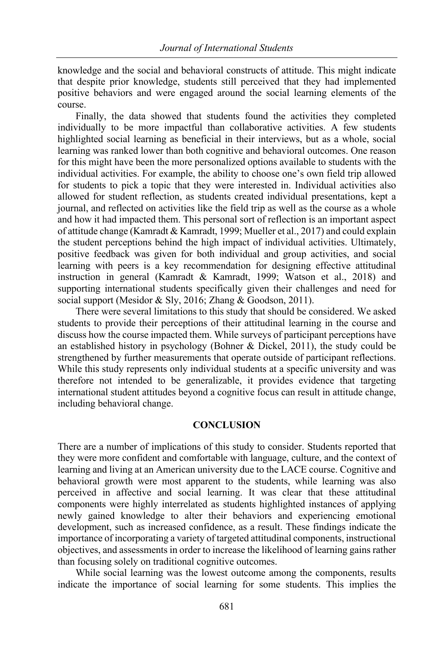knowledge and the social and behavioral constructs of attitude. This might indicate that despite prior knowledge, students still perceived that they had implemented positive behaviors and were engaged around the social learning elements of the course.

Finally, the data showed that students found the activities they completed individually to be more impactful than collaborative activities. A few students highlighted social learning as beneficial in their interviews, but as a whole, social learning was ranked lower than both cognitive and behavioral outcomes. One reason for this might have been the more personalized options available to students with the individual activities. For example, the ability to choose one's own field trip allowed for students to pick a topic that they were interested in. Individual activities also allowed for student reflection, as students created individual presentations, kept a journal, and reflected on activities like the field trip as well as the course as a whole and how it had impacted them. This personal sort of reflection is an important aspect of attitude change (Kamradt & Kamradt, 1999; Mueller et al., 2017) and could explain the student perceptions behind the high impact of individual activities. Ultimately, positive feedback was given for both individual and group activities, and social learning with peers is a key recommendation for designing effective attitudinal instruction in general (Kamradt & Kamradt, 1999; Watson et al., 2018) and supporting international students specifically given their challenges and need for social support (Mesidor & Sly, 2016; Zhang & Goodson, 2011).

There were several limitations to this study that should be considered. We asked students to provide their perceptions of their attitudinal learning in the course and discuss how the course impacted them. While surveys of participant perceptions have an established history in psychology (Bohner & Dickel, 2011), the study could be strengthened by further measurements that operate outside of participant reflections. While this study represents only individual students at a specific university and was therefore not intended to be generalizable, it provides evidence that targeting international student attitudes beyond a cognitive focus can result in attitude change, including behavioral change.

## **CONCLUSION**

There are a number of implications of this study to consider. Students reported that they were more confident and comfortable with language, culture, and the context of learning and living at an American university due to the LACE course. Cognitive and behavioral growth were most apparent to the students, while learning was also perceived in affective and social learning. It was clear that these attitudinal components were highly interrelated as students highlighted instances of applying newly gained knowledge to alter their behaviors and experiencing emotional development, such as increased confidence, as a result. These findings indicate the importance of incorporating a variety of targeted attitudinal components, instructional objectives, and assessments in order to increase the likelihood of learning gains rather than focusing solely on traditional cognitive outcomes.

While social learning was the lowest outcome among the components, results indicate the importance of social learning for some students. This implies the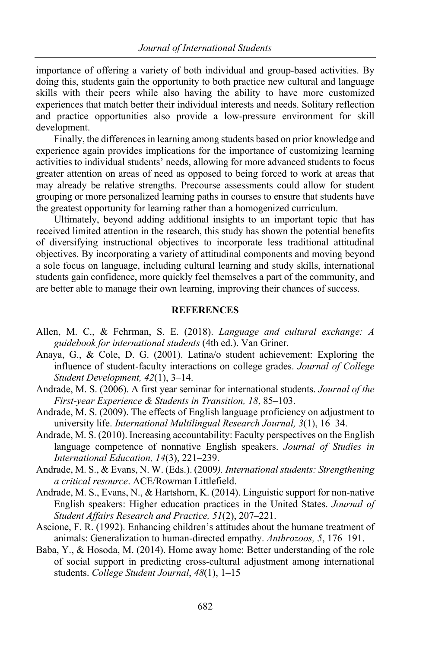importance of offering a variety of both individual and group-based activities. By doing this, students gain the opportunity to both practice new cultural and language skills with their peers while also having the ability to have more customized experiences that match better their individual interests and needs. Solitary reflection and practice opportunities also provide a low-pressure environment for skill development.

Finally, the differences in learning among students based on prior knowledge and experience again provides implications for the importance of customizing learning activities to individual students' needs, allowing for more advanced students to focus greater attention on areas of need as opposed to being forced to work at areas that may already be relative strengths. Precourse assessments could allow for student grouping or more personalized learning paths in courses to ensure that students have the greatest opportunity for learning rather than a homogenized curriculum.

Ultimately, beyond adding additional insights to an important topic that has received limited attention in the research, this study has shown the potential benefits of diversifying instructional objectives to incorporate less traditional attitudinal objectives. By incorporating a variety of attitudinal components and moving beyond a sole focus on language, including cultural learning and study skills, international students gain confidence, more quickly feel themselves a part of the community, and are better able to manage their own learning, improving their chances of success.

## **REFERENCES**

- Allen, M. C., & Fehrman, S. E. (2018). *Language and cultural exchange: A guidebook for international students* (4th ed.). Van Griner.
- Anaya, G., & Cole, D. G. (2001). Latina/o student achievement: Exploring the influence of student-faculty interactions on college grades. *Journal of College Student Development, 42*(1), 3–14.
- Andrade, M. S. (2006). A first year seminar for international students. *Journal of the First-year Experience & Students in Transition, 18*, 85–103.

Andrade, M. S. (2009). The effects of English language proficiency on adjustment to university life. *International Multilingual Research Journal, 3*(1), 16–34.

- Andrade, M. S. (2010). Increasing accountability: Faculty perspectives on the English language competence of nonnative English speakers. *Journal of Studies in International Education, 14*(3), 221–239.
- Andrade, M. S., & Evans, N. W. (Eds.). (2009*). International students: Strengthening a critical resource*. ACE/Rowman Littlefield.
- Andrade, M. S., Evans, N., & Hartshorn, K. (2014). Linguistic support for non-native English speakers: Higher education practices in the United States. *Journal of Student Affairs Research and Practice, 51*(2), 207–221.
- Ascione, F. R. (1992). Enhancing children's attitudes about the humane treatment of animals: Generalization to human-directed empathy. *Anthrozoos, 5*, 176–191.
- Baba, Y., & Hosoda, M. (2014). Home away home: Better understanding of the role of social support in predicting cross-cultural adjustment among international students. *College Student Journal*, *48*(1), 1–15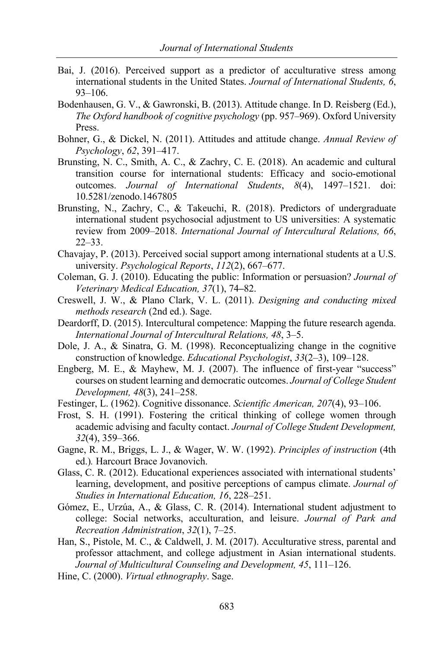- Bai, J. (2016). Perceived support as a predictor of acculturative stress among international students in the United States. *Journal of International Students, 6*, 93–106.
- Bodenhausen, G. V., & Gawronski, B. (2013). Attitude change. In D. Reisberg (Ed.), *The Oxford handbook of cognitive psychology* (pp. 957–969). Oxford University Press.
- Bohner, G., & Dickel, N. (2011). Attitudes and attitude change. *Annual Review of Psychology*, *62*, 391–417.
- Brunsting, N. C., Smith, A. C., & Zachry, C. E. (2018). An academic and cultural transition course for international students: Efficacy and socio-emotional outcomes. *Journal of International Students*, *8*(4), 1497–1521. doi: 10.5281/zenodo.1467805
- Brunsting, N., Zachry, C., & Takeuchi, R. (2018). Predictors of undergraduate international student psychosocial adjustment to US universities: A systematic review from 2009–2018. *International Journal of Intercultural Relations, 66*, 22–33.
- Chavajay, P. (2013). Perceived social support among international students at a U.S. university. *Psychological Reports*, *112*(2), 667–677.
- Coleman, G. J. (2010). Educating the public: Information or persuasion? *Journal of Veterinary Medical Education, 37*(1), 74**–**82.
- Creswell, J. W., & Plano Clark, V. L. (2011). *Designing and conducting mixed methods research* (2nd ed.). Sage.
- Deardorff, D. (2015). Intercultural competence: Mapping the future research agenda. *International Journal of Intercultural Relations, 48*, 3–5.
- Dole, J. A., & Sinatra, G. M. (1998). Reconceptualizing change in the cognitive construction of knowledge. *Educational Psychologist*, *33*(2–3), 109–128.
- Engberg, M. E., & Mayhew, M. J. (2007). The influence of first-year "success" courses on student learning and democratic outcomes. *Journal of College Student Development, 48*(3), 241–258.
- Festinger, L. (1962). Cognitive dissonance. *Scientific American, 207*(4), 93–106.
- Frost, S. H. (1991). Fostering the critical thinking of college women through academic advising and faculty contact. *Journal of College Student Development, 32*(4), 359–366.
- Gagne, R. M., Briggs, L. J., & Wager, W. W. (1992). *Principles of instruction* (4th ed.)*.* Harcourt Brace Jovanovich.
- Glass, C. R. (2012). Educational experiences associated with international students' learning, development, and positive perceptions of campus climate. *Journal of Studies in International Education, 16*, 228–251.
- Gómez, E., Urzúa, A., & Glass, C. R. (2014). International student adjustment to college: Social networks, acculturation, and leisure. *Journal of Park and Recreation Administration*, *32*(1), 7–25.
- Han, S., Pistole, M. C., & Caldwell, J. M. (2017). Acculturative stress, parental and professor attachment, and college adjustment in Asian international students. *Journal of Multicultural Counseling and Development, 45*, 111–126.
- Hine, C. (2000). *Virtual ethnography*. Sage.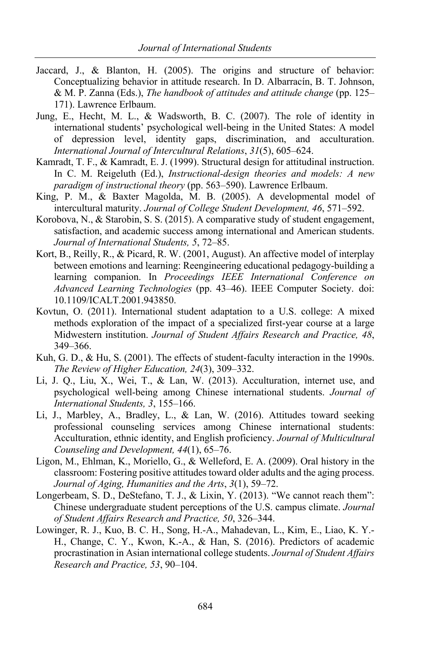- Jaccard, J., & Blanton, H. (2005). The origins and structure of behavior: Conceptualizing behavior in attitude research. In D. Albarracín, B. T. Johnson, & M. P. Zanna (Eds.), *The handbook of attitudes and attitude change* (pp. 125– 171). Lawrence Erlbaum.
- Jung, E., Hecht, M. L., & Wadsworth, B. C. (2007). The role of identity in international students' psychological well-being in the United States: A model of depression level, identity gaps, discrimination, and acculturation. *International Journal of Intercultural Relations*, *31*(5), 605–624.
- Kamradt, T. F., & Kamradt, E. J. (1999). Structural design for attitudinal instruction. In C. M. Reigeluth (Ed.), *Instructional-design theories and models: A new paradigm of instructional theory* (pp. 563–590). Lawrence Erlbaum.
- King, P. M., & Baxter Magolda, M. B. (2005). A developmental model of intercultural maturity. *Journal of College Student Development, 46*, 571–592.
- Korobova, N., & Starobin, S. S. (2015). A comparative study of student engagement, satisfaction, and academic success among international and American students. *Journal of International Students, 5*, 72–85.
- Kort, B., Reilly, R., & Picard, R. W. (2001, August). An affective model of interplay between emotions and learning: Reengineering educational pedagogy-building a learning companion. In *Proceedings IEEE International Conference on Advanced Learning Technologies* (pp. 43–46). IEEE Computer Society. doi: 10.1109/ICALT.2001.943850.
- Kovtun, O. (2011). International student adaptation to a U.S. college: A mixed methods exploration of the impact of a specialized first-year course at a large Midwestern institution. *Journal of Student Affairs Research and Practice, 48*, 349–366.
- Kuh, G. D., & Hu, S. (2001). The effects of student-faculty interaction in the 1990s. *The Review of Higher Education, 24*(3), 309–332.
- Li, J. Q., Liu, X., Wei, T., & Lan, W. (2013). Acculturation, internet use, and psychological well-being among Chinese international students. *Journal of International Students, 3*, 155–166.
- Li, J., Marbley, A., Bradley, L., & Lan, W. (2016). Attitudes toward seeking professional counseling services among Chinese international students: Acculturation, ethnic identity, and English proficiency. *Journal of Multicultural Counseling and Development, 44*(1), 65–76.
- Ligon, M., Ehlman, K., Moriello, G., & Welleford, E. A. (2009). Oral history in the classroom: Fostering positive attitudes toward older adults and the aging process. *Journal of Aging, Humanities and the Arts*, *3*(1), 59–72.
- Longerbeam, S. D., DeStefano, T. J., & Lixin, Y. (2013). "We cannot reach them": Chinese undergraduate student perceptions of the U.S. campus climate. *Journal of Student Affairs Research and Practice, 50*, 326–344.
- Lowinger, R. J., Kuo, B. C. H., Song, H.-A., Mahadevan, L., Kim, E., Liao, K. Y.- H., Change, C. Y., Kwon, K.-A., & Han, S. (2016). Predictors of academic procrastination in Asian international college students. *Journal of Student Affairs Research and Practice, 53*, 90–104.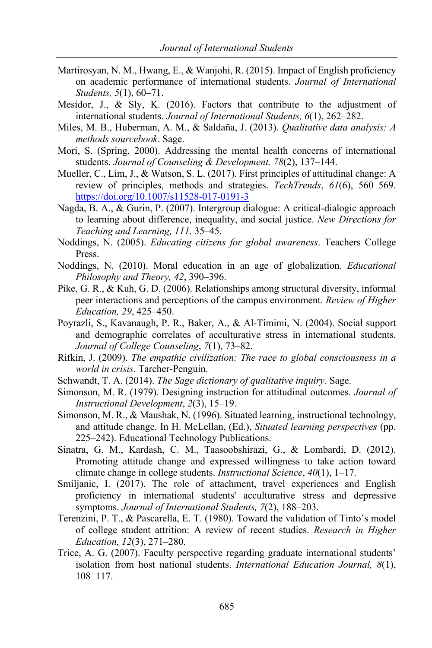- Martirosyan, N. M., Hwang, E., & Wanjohi, R. (2015). Impact of English proficiency on academic performance of international students. *Journal of International Students, 5*(1), 60–71.
- Mesidor, J., & Sly, K. (2016). Factors that contribute to the adjustment of international students. *Journal of International Students, 6*(1), 262–282.
- Miles, M. B., Huberman, A. M., & Saldaña, J. (2013). *Qualitative data analysis: A methods sourcebook*. Sage.
- Mori, S. (Spring, 2000). Addressing the mental health concerns of international students. *Journal of Counseling & Development, 78*(2), 137–144.
- Mueller, C., Lim, J., & Watson, S. L. (2017). First principles of attitudinal change: A review of principles, methods and strategies. *TechTrends*, *61*(6), 560–569. https://doi.org/10.1007/s11528-017-0191-3
- Nagda, B. A., & Gurin, P. (2007). Intergroup dialogue: A critical-dialogic approach to learning about difference, inequality, and social justice. *New Directions for Teaching and Learning, 111,* 35–45.
- Noddings, N. (2005). *Educating citizens for global awareness*. Teachers College Press.
- Noddings, N. (2010). Moral education in an age of globalization. *Educational Philosophy and Theory, 42*, 390–396.
- Pike, G. R., & Kuh, G. D. (2006). Relationships among structural diversity, informal peer interactions and perceptions of the campus environment. *Review of Higher Education, 29*, 425–450.
- Poyrazli, S., Kavanaugh, P. R., Baker, A., & Al-Timimi, N. (2004). Social support and demographic correlates of acculturative stress in international students. *Journal of College Counseling*, *7*(1), 73–82.
- Rifkin, J. (2009). *The empathic civilization: The race to global consciousness in a world in crisis*. Tarcher-Penguin.
- Schwandt, T. A. (2014). *The Sage dictionary of qualitative inquiry*. Sage.
- Simonson, M. R. (1979). Designing instruction for attitudinal outcomes. *Journal of Instructional Development*, *2*(3), 15–19.
- Simonson, M. R., & Maushak, N. (1996). Situated learning, instructional technology, and attitude change. In H. McLellan, (Ed.), *Situated learning perspectives* (pp. 225–242). Educational Technology Publications.
- Sinatra, G. M., Kardash, C. M., Taasoobshirazi, G., & Lombardi, D. (2012). Promoting attitude change and expressed willingness to take action toward climate change in college students. *Instructional Science*, *40*(1), 1–17.
- Smiljanic, I. (2017). The role of attachment, travel experiences and English proficiency in international students' acculturative stress and depressive symptoms. *Journal of International Students, 7*(2), 188–203.
- Terenzini, P. T., & Pascarella, E. T. (1980). Toward the validation of Tinto's model of college student attrition: A review of recent studies. *Research in Higher Education, 12*(3), 271–280.
- Trice, A. G. (2007). Faculty perspective regarding graduate international students' isolation from host national students. *International Education Journal, 8*(1), 108–117.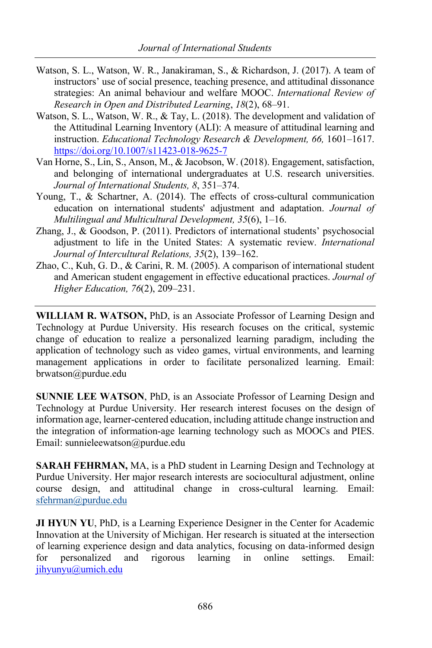- Watson, S. L., Watson, W. R., Janakiraman, S., & Richardson, J. (2017). A team of instructors' use of social presence, teaching presence, and attitudinal dissonance strategies: An animal behaviour and welfare MOOC. *International Review of Research in Open and Distributed Learning*, *18*(2), 68–91.
- Watson, S. L., Watson, W. R., & Tay, L. (2018). The development and validation of the Attitudinal Learning Inventory (ALI): A measure of attitudinal learning and instruction. *Educational Technology Research & Development, 66,* 1601–1617. https://doi.org/10.1007/s11423-018-9625-7
- Van Horne, S., Lin, S., Anson, M., & Jacobson, W. (2018). Engagement, satisfaction, and belonging of international undergraduates at U.S. research universities. *Journal of International Students, 8*, 351–374.
- Young, T., & Schartner, A. (2014). The effects of cross-cultural communication education on international students' adjustment and adaptation. *Journal of Multilingual and Multicultural Development, 35*(6), 1–16.
- Zhang, J., & Goodson, P. (2011). Predictors of international students' psychosocial adjustment to life in the United States: A systematic review. *International Journal of Intercultural Relations, 35*(2), 139–162.
- Zhao, C., Kuh, G. D., & Carini, R. M. (2005). A comparison of international student and American student engagement in effective educational practices. *Journal of Higher Education, 76*(2), 209–231.

**WILLIAM R. WATSON,** PhD, is an Associate Professor of Learning Design and Technology at Purdue University. His research focuses on the critical, systemic change of education to realize a personalized learning paradigm, including the application of technology such as video games, virtual environments, and learning management applications in order to facilitate personalized learning. Email: brwatson@purdue.edu

**SUNNIE LEE WATSON**, PhD, is an Associate Professor of Learning Design and Technology at Purdue University. Her research interest focuses on the design of information age, learner-centered education, including attitude change instruction and the integration of information-age learning technology such as MOOCs and PIES. Email: sunnieleewatson@purdue.edu

**SARAH FEHRMAN,** MA, is a PhD student in Learning Design and Technology at Purdue University. Her major research interests are sociocultural adjustment, online course design, and attitudinal change in cross-cultural learning. Email: sfehrman@purdue.edu

**JI HYUN YU**, PhD, is a Learning Experience Designer in the Center for Academic Innovation at the University of Michigan. Her research is situated at the intersection of learning experience design and data analytics, focusing on data-informed design for personalized and rigorous learning in online settings. Email: jihyunyu@umich.edu